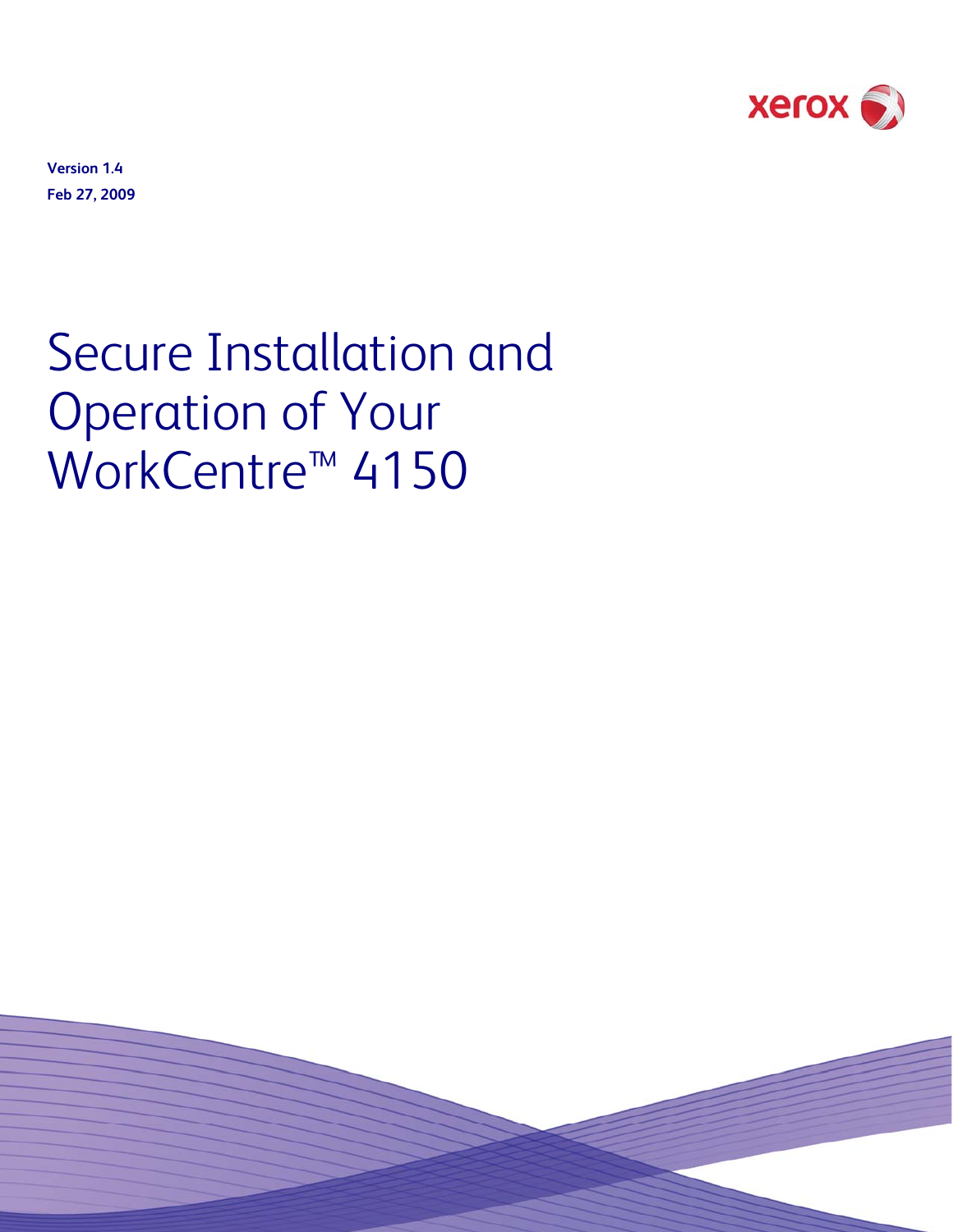

**Version 1.4 Feb 27, 2009** 

# Secure Installation and Operation of Your WorkCentre<sup>™</sup> 4150

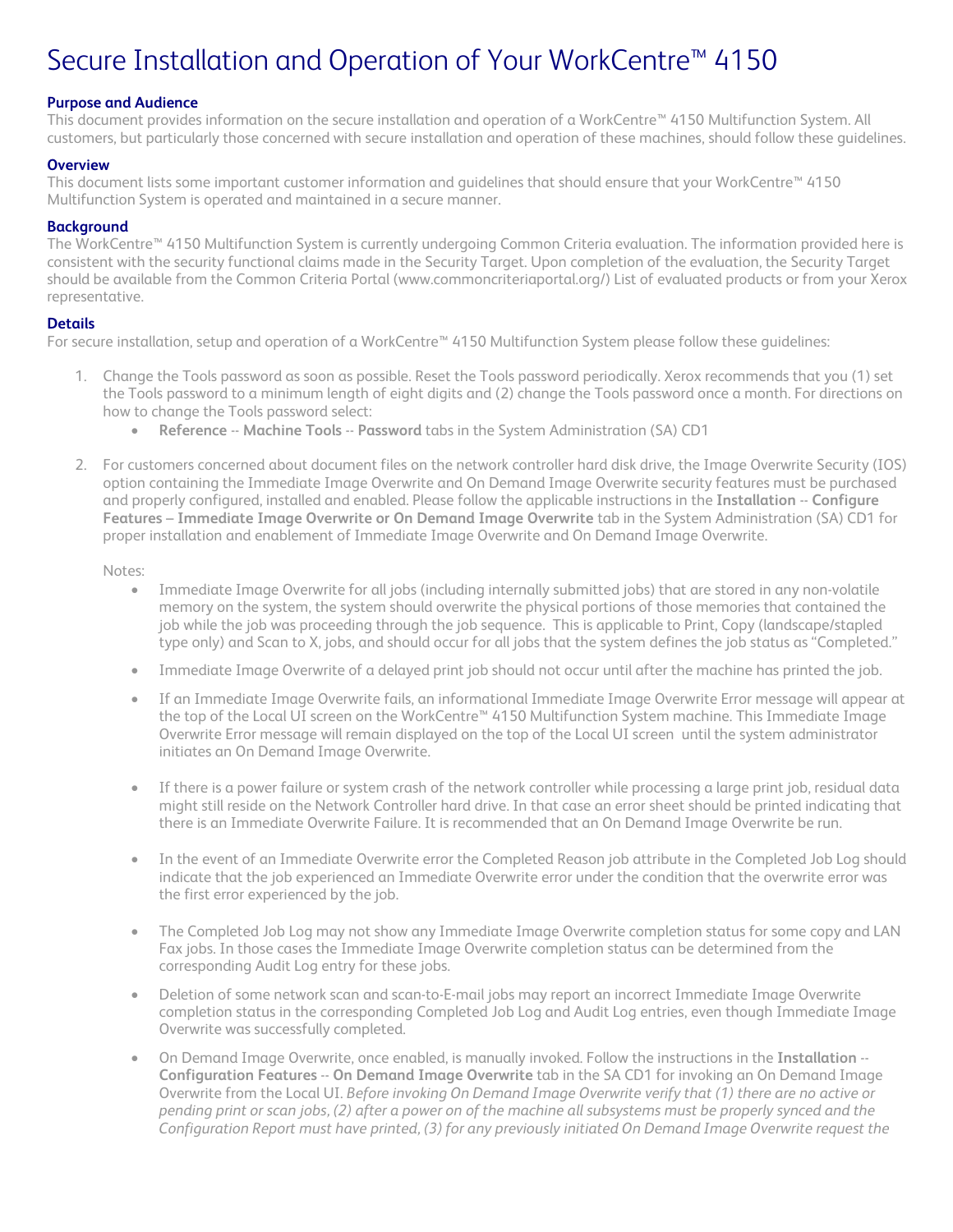# Secure Installation and Operation of Your WorkCentre™ 4150

# **Purpose and Audience**

This document provides information on the secure installation and operation of a WorkCentre™ 4150 Multifunction System. All customers, but particularly those concerned with secure installation and operation of these machines, should follow these guidelines.

#### **Overview**

This document lists some important customer information and guidelines that should ensure that your WorkCentre™ 4150 Multifunction System is operated and maintained in a secure manner.

#### **Background**

The WorkCentre™ 4150 Multifunction System is currently undergoing Common Criteria evaluation. The information provided here is consistent with the security functional claims made in the Security Target. Upon completion of the evaluation, the Security Target should be available from the Common Criteria Portal (www.commoncriteriaportal.org/) List of evaluated products or from your Xerox representative.

#### **Details**

For secure installation, setup and operation of a WorkCentre™ 4150 Multifunction System please follow these guidelines:

- 1. Change the Tools password as soon as possible. Reset the Tools password periodically. Xerox recommends that you (1) set the Tools password to a minimum length of eight digits and (2) change the Tools password once a month. For directions on how to change the Tools password select:
	- **Reference** -- **Machine Tools** -- **Password** tabs in the System Administration (SA) CD1
- 2. For customers concerned about document files on the network controller hard disk drive, the Image Overwrite Security (IOS) option containing the Immediate Image Overwrite and On Demand Image Overwrite security features must be purchased and properly configured, installed and enabled. Please follow the applicable instructions in the **Installation** -- **Configure Features** – **Immediate Image Overwrite or On Demand Image Overwrite** tab in the System Administration (SA) CD1 for proper installation and enablement of Immediate Image Overwrite and On Demand Image Overwrite.

Notes:

- Immediate Image Overwrite for all jobs (including internally submitted jobs) that are stored in any non-volatile memory on the system, the system should overwrite the physical portions of those memories that contained the job while the job was proceeding through the job sequence. This is applicable to Print, Copy (landscape/stapled type only) and Scan to X, jobs, and should occur for all jobs that the system defines the job status as "Completed."
- Immediate Image Overwrite of a delayed print job should not occur until after the machine has printed the job.
- If an Immediate Image Overwrite fails, an informational Immediate Image Overwrite Error message will appear at the top of the Local UI screen on the WorkCentre™ 4150 Multifunction System machine. This Immediate Image Overwrite Error message will remain displayed on the top of the Local UI screen until the system administrator initiates an On Demand Image Overwrite.
- If there is a power failure or system crash of the network controller while processing a large print job, residual data might still reside on the Network Controller hard drive. In that case an error sheet should be printed indicating that there is an Immediate Overwrite Failure. It is recommended that an On Demand Image Overwrite be run.
- In the event of an Immediate Overwrite error the Completed Reason job attribute in the Completed Job Log should indicate that the job experienced an Immediate Overwrite error under the condition that the overwrite error was the first error experienced by the job.
- The Completed Job Log may not show any Immediate Image Overwrite completion status for some copy and LAN Fax jobs. In those cases the Immediate Image Overwrite completion status can be determined from the corresponding Audit Log entry for these jobs.
- Deletion of some network scan and scan-to-E-mail jobs may report an incorrect Immediate Image Overwrite completion status in the corresponding Completed Job Log and Audit Log entries, even though Immediate Image Overwrite was successfully completed.
- On Demand Image Overwrite, once enabled, is manually invoked. Follow the instructions in the **Installation** -- **Configuration Features** -- **On Demand Image Overwrite** tab in the SA CD1 for invoking an On Demand Image Overwrite from the Local UI. *Before invoking On Demand Image Overwrite verify that (1) there are no active or pending print or scan jobs, (2) after a power on of the machine all subsystems must be properly synced and the Configuration Report must have printed, (3) for any previously initiated On Demand Image Overwrite request the*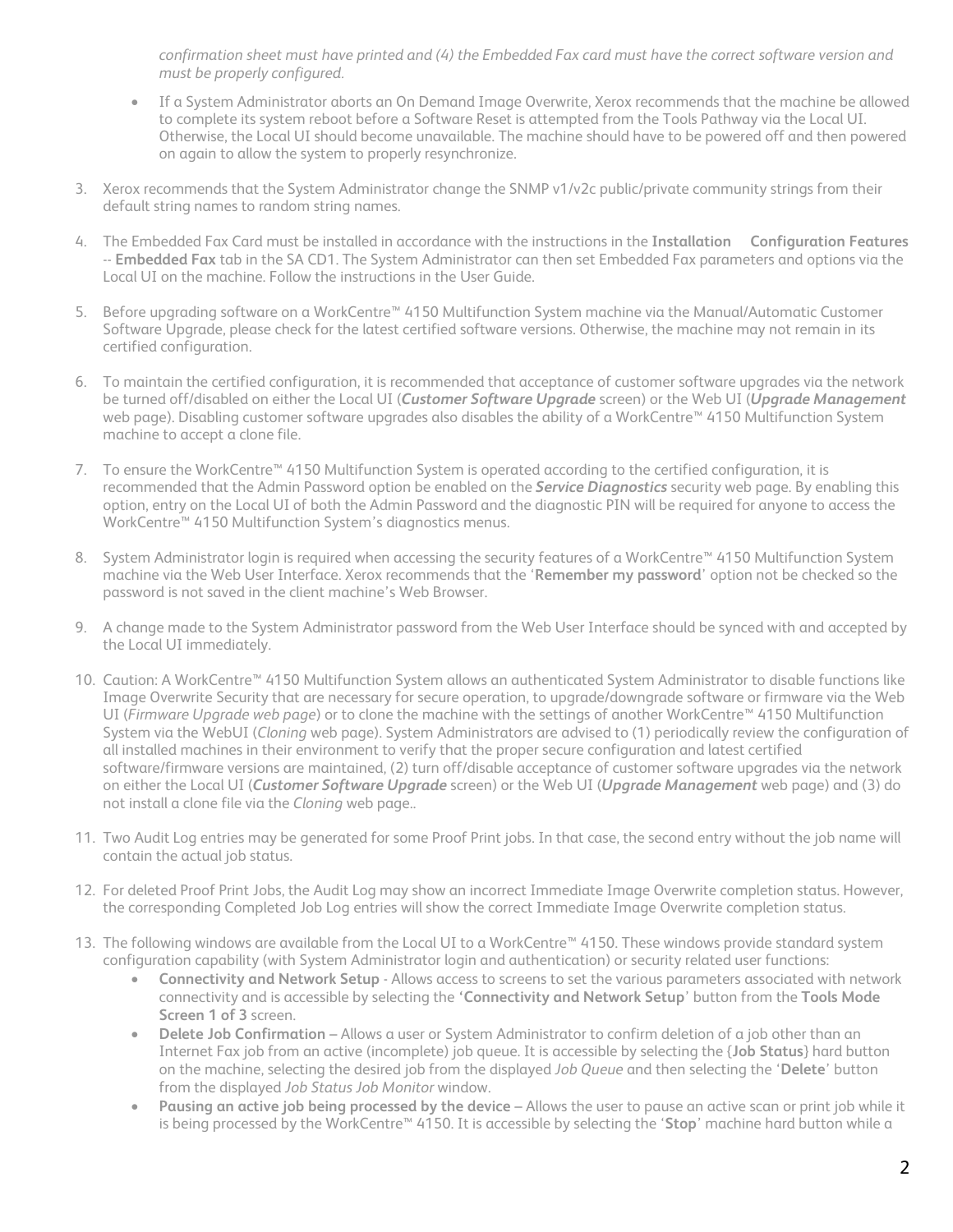*confirmation sheet must have printed and (4) the Embedded Fax card must have the correct software version and must be properly configured.*

- If a System Administrator aborts an On Demand Image Overwrite, Xerox recommends that the machine be allowed to complete its system reboot before a Software Reset is attempted from the Tools Pathway via the Local UI. Otherwise, the Local UI should become unavailable. The machine should have to be powered off and then powered on again to allow the system to properly resynchronize.
- 3. Xerox recommends that the System Administrator change the SNMP v1/v2c public/private community strings from their default string names to random string names.
- 4. The Embedded Fax Card must be installed in accordance with the instructions in the **Installation Configuration Features** -- **Embedded Fax** tab in the SA CD1. The System Administrator can then set Embedded Fax parameters and options via the Local UI on the machine. Follow the instructions in the User Guide.
- 5. Before upgrading software on a WorkCentre™ 4150 Multifunction System machine via the Manual/Automatic Customer Software Upgrade, please check for the latest certified software versions. Otherwise, the machine may not remain in its certified configuration.
- 6. To maintain the certified configuration, it is recommended that acceptance of customer software upgrades via the network be turned off/disabled on either the Local UI (*Customer Software Upgrade* screen) or the Web UI (*Upgrade Management*  web page). Disabling customer software upgrades also disables the ability of a WorkCentre™ 4150 Multifunction System machine to accept a clone file.
- 7. To ensure the WorkCentre™ 4150 Multifunction System is operated according to the certified configuration, it is recommended that the Admin Password option be enabled on the *Service Diagnostics* security web page. By enabling this option, entry on the Local UI of both the Admin Password and the diagnostic PIN will be required for anyone to access the WorkCentre™ 4150 Multifunction System's diagnostics menus.
- 8. System Administrator login is required when accessing the security features of a WorkCentre™ 4150 Multifunction System machine via the Web User Interface. Xerox recommends that the '**Remember my password**' option not be checked so the password is not saved in the client machine's Web Browser.
- 9. A change made to the System Administrator password from the Web User Interface should be synced with and accepted by the Local UI immediately.
- 10. Caution: A WorkCentre™ 4150 Multifunction System allows an authenticated System Administrator to disable functions like Image Overwrite Security that are necessary for secure operation, to upgrade/downgrade software or firmware via the Web UI (*Firmware Upgrade web page*) or to clone the machine with the settings of another WorkCentre™ 4150 Multifunction System via the WebUI (*Cloning* web page). System Administrators are advised to (1) periodically review the configuration of all installed machines in their environment to verify that the proper secure configuration and latest certified software/firmware versions are maintained, (2) turn off/disable acceptance of customer software upgrades via the network on either the Local UI (*Customer Software Upgrade* screen) or the Web UI (*Upgrade Management* web page) and (3) do not install a clone file via the *Cloning* web page..
- 11. Two Audit Log entries may be generated for some Proof Print jobs. In that case, the second entry without the job name will contain the actual job status.
- 12. For deleted Proof Print Jobs, the Audit Log may show an incorrect Immediate Image Overwrite completion status. However, the corresponding Completed Job Log entries will show the correct Immediate Image Overwrite completion status.
- 13. The following windows are available from the Local UI to a WorkCentre™ 4150. These windows provide standard system configuration capability (with System Administrator login and authentication) or security related user functions:
	- **Connectivity and Network Setup**  Allows access to screens to set the various parameters associated with network connectivity and is accessible by selecting the **'Connectivity and Network Setup**' button from the **Tools Mode Screen 1 of 3** screen.
	- **Delete Job Confirmation**  Allows a user or System Administrator to confirm deletion of a job other than an Internet Fax job from an active (incomplete) job queue. It is accessible by selecting the {**Job Status**} hard button on the machine, selecting the desired job from the displayed *Job Queue* and then selecting the '**Delete**' button from the displayed *Job Status Job Monitor* window.
	- **Pausing an active job being processed by the device**  Allows the user to pause an active scan or print job while it is being processed by the WorkCentre™ 4150. It is accessible by selecting the '**Stop**' machine hard button while a